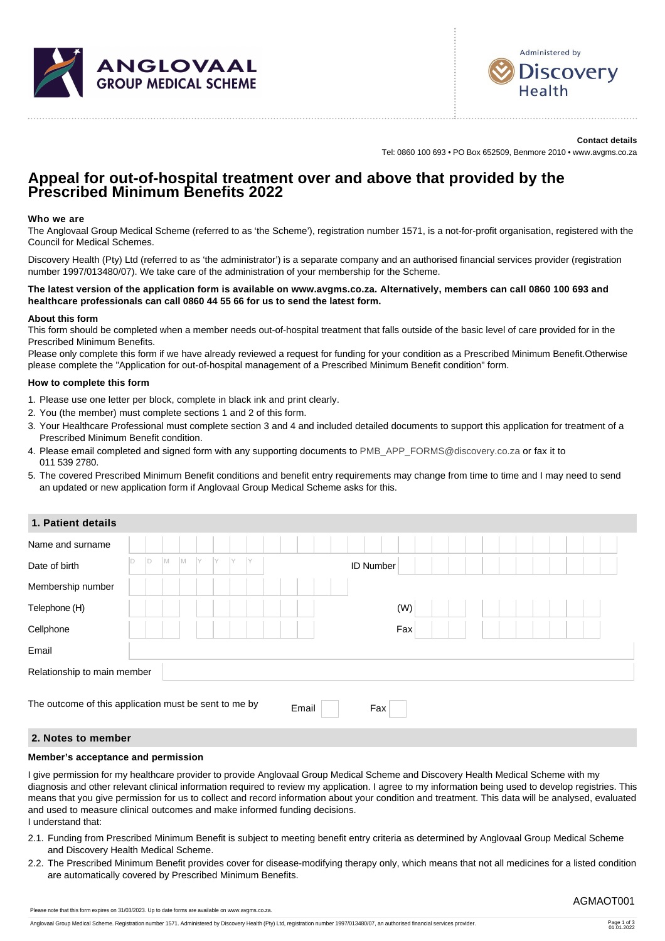



**Contact details** Tel: 0860 100 693 • PO Box 652509, Benmore 2010 • www.avgms.co.za

# **Appeal for out-of-hospital treatment over and above that provided by the Prescribed Minimum Benefits 2022**

#### **Who we are**

The Anglovaal Group Medical Scheme (referred to as 'the Scheme'), registration number 1571, is a not-for-profit organisation, registered with the Council for Medical Schemes.

Discovery Health (Pty) Ltd (referred to as 'the administrator') is a separate company and an authorised financial services provider (registration number 1997/013480/07). We take care of the administration of your membership for the Scheme.

#### **The latest version of the application form is available on www.avgms.co.za. Alternatively, members can call 0860 100 693 and healthcare professionals can call 0860 44 55 66 for us to send the latest form.**

#### **About this form**

This form should be completed when a member needs out-of-hospital treatment that falls outside of the basic level of care provided for in the Prescribed Minimum Benefits.

Please only complete this form if we have already reviewed a request for funding for your condition as a Prescribed Minimum Benefit.Otherwise please complete the "Application for out-of-hospital management of a Prescribed Minimum Benefit condition" form.

#### **How to complete this form**

- 1. Please use one letter per block, complete in black ink and print clearly.
- 2. You (the member) must complete sections 1 and 2 of this form.
- 3. Your Healthcare Professional must complete section 3 and 4 and included detailed documents to support this application for treatment of a Prescribed Minimum Benefit condition.
- 4. Please email completed and signed form with any supporting documents to [PMB\\_APP\\_FORMS@discovery.co.za](mailto:PMB_APP_FORMS@discovery.co.za) or fax it to 011 539 2780.
- 5. The covered Prescribed Minimum Benefit conditions and benefit entry requirements may change from time to time and I may need to send an updated or new application form if Anglovaal Group Medical Scheme asks for this.

## **1. Patient details**

| Name and surname                                      |   |   |     |    |  |    |  |       |  |                  |     |  |  |  |  |  |  |
|-------------------------------------------------------|---|---|-----|----|--|----|--|-------|--|------------------|-----|--|--|--|--|--|--|
| Date of birth                                         | D | M | IM. | IY |  | İΥ |  |       |  | <b>ID Number</b> |     |  |  |  |  |  |  |
| Membership number                                     |   |   |     |    |  |    |  |       |  |                  |     |  |  |  |  |  |  |
| Telephone (H)                                         |   |   |     |    |  |    |  |       |  |                  | (W) |  |  |  |  |  |  |
| Cellphone                                             |   |   |     |    |  |    |  |       |  |                  | Fax |  |  |  |  |  |  |
| Email                                                 |   |   |     |    |  |    |  |       |  |                  |     |  |  |  |  |  |  |
| Relationship to main member                           |   |   |     |    |  |    |  |       |  |                  |     |  |  |  |  |  |  |
| The outcome of this application must be sent to me by |   |   |     |    |  |    |  | Email |  | Fax              |     |  |  |  |  |  |  |

## **2. Notes to member**

### **Member's acceptance and permission**

I give permission for my healthcare provider to provide Anglovaal Group Medical Scheme and Discovery Health Medical Scheme with my diagnosis and other relevant clinical information required to review my application. I agree to my information being used to develop registries. This means that you give permission for us to collect and record information about your condition and treatment. This data will be analysed, evaluated and used to measure clinical outcomes and make informed funding decisions. I understand that:

- 2.1. Funding from Prescribed Minimum Benefit is subject to meeting benefit entry criteria as determined by Anglovaal Group Medical Scheme and Discovery Health Medical Scheme.
- 2.2. The Prescribed Minimum Benefit provides cover for disease-modifying therapy only, which means that not all medicines for a listed condition are automatically covered by Prescribed Minimum Benefits.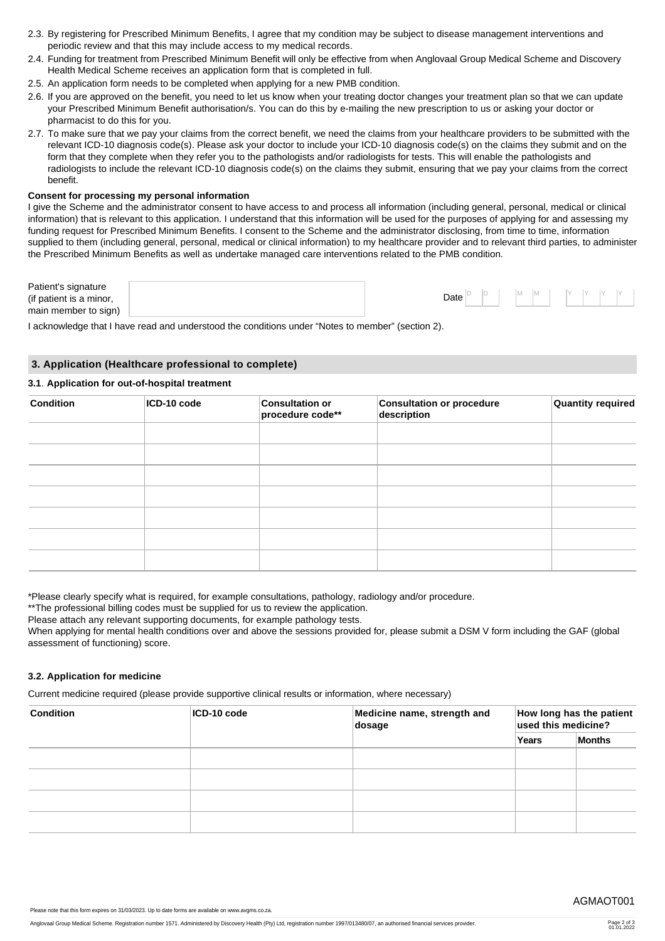- 2.3. By registering for Prescribed Minimum Benefits, I agree that my condition may be subject to disease management interventions and periodic review and that this may include access to my medical records.
- 2.4. Funding for treatment from Prescribed Minimum Benefit will only be effective from when Anglovaal Group Medical Scheme and Discovery Health Medical Scheme receives an application form that is completed in full.
- 2.5. An application form needs to be completed when applying for a new PMB condition.
- 2.6. If you are approved on the benefit, you need to let us know when your treating doctor changes your treatment plan so that we can update your Prescribed Minimum Benefit authorisation/s. You can do this by e-mailing the new prescription to us or asking your doctor or pharmacist to do this for you.
- 2.7. To make sure that we pay your claims from the correct benefit, we need the claims from your healthcare providers to be submitted with the relevant ICD-10 diagnosis code(s). Please ask your doctor to include your ICD-10 diagnosis code(s) on the claims they submit and on the form that they complete when they refer you to the pathologists and/or radiologists for tests. This will enable the pathologists and radiologists to include the relevant ICD-10 diagnosis code(s) on the claims they submit, ensuring that we pay your claims from the correct benefit.

#### **Consent for processing my personal information**

I give the Scheme and the administrator consent to have access to and process all information (including general, personal, medical or clinical information) that is relevant to this application. I understand that this information will be used for the purposes of applying for and assessing my funding request for Prescribed Minimum Benefits. I consent to the Scheme and the administrator disclosing, from time to time, information supplied to them (including general, personal, medical or clinical information) to my healthcare provider and to relevant third parties, to administer the Prescribed Minimum Benefits as well as undertake managed care interventions related to the PMB condition.

| Patient's signature<br>(if patient is a minor,<br>main member to sign) |  | Date |  |  | IVI. |  |  |  |  |  |  |  |
|------------------------------------------------------------------------|--|------|--|--|------|--|--|--|--|--|--|--|
|------------------------------------------------------------------------|--|------|--|--|------|--|--|--|--|--|--|--|

I acknowledge that I have read and understood the conditions under "Notes to member" (section 2).

#### **3. Application (Healthcare professional to complete)**

# **3.1**. **Application for out-of-hospital treatment**

| <b>Condition</b> | ICD-10 code | <b>Consultation or</b><br>procedure code** | <b>Consultation or procedure</b><br>description | Quantity required |
|------------------|-------------|--------------------------------------------|-------------------------------------------------|-------------------|
|                  |             |                                            |                                                 |                   |
|                  |             |                                            |                                                 |                   |
|                  |             |                                            |                                                 |                   |
|                  |             |                                            |                                                 |                   |
|                  |             |                                            |                                                 |                   |
|                  |             |                                            |                                                 |                   |
|                  |             |                                            |                                                 |                   |

\*Please clearly specify what is required, for example consultations, pathology, radiology and/or procedure.

\*\*The professional billing codes must be supplied for us to review the application.

Please attach any relevant supporting documents, for example pathology tests.

When applying for mental health conditions over and above the sessions provided for, please submit a DSM V form including the GAF (global assessment of functioning) score.

#### **3.2. Application for medicine**

Current medicine required (please provide supportive clinical results or information, where necessary)

| <b>Condition</b> | ICD-10 code | Medicine name, strength and<br>dosage | How long has the patient<br>used this medicine? |               |  |  |  |  |
|------------------|-------------|---------------------------------------|-------------------------------------------------|---------------|--|--|--|--|
|                  |             |                                       | Years                                           | <b>Months</b> |  |  |  |  |
|                  |             |                                       |                                                 |               |  |  |  |  |
|                  |             |                                       |                                                 |               |  |  |  |  |
|                  |             |                                       |                                                 |               |  |  |  |  |
|                  |             |                                       |                                                 |               |  |  |  |  |